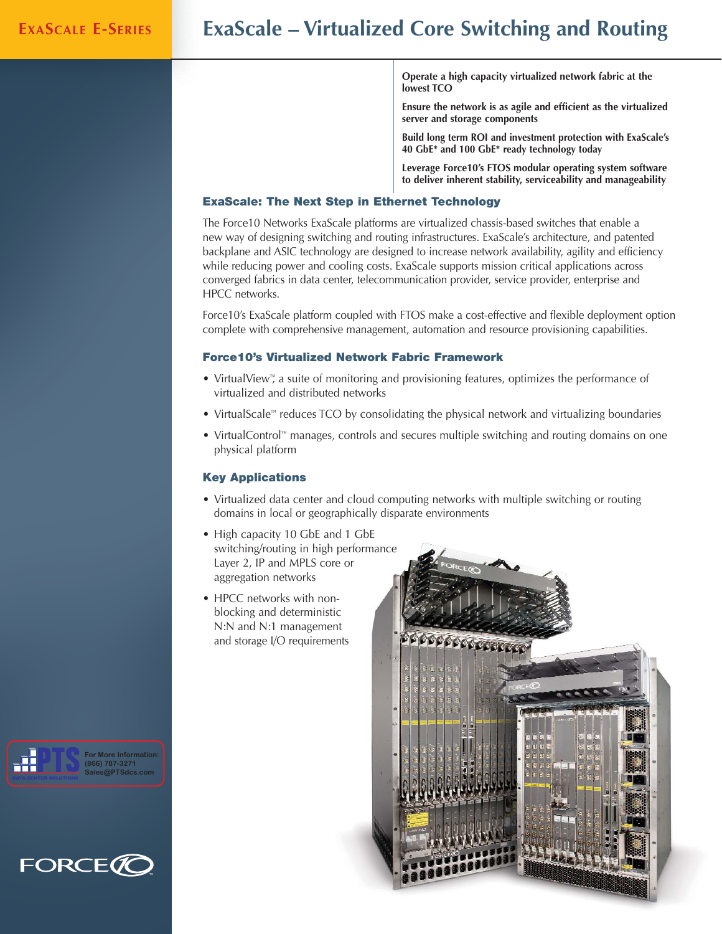# **EXASCALE E-SERIES ExaScale – Virtualized Core Switching and Routing**

**Operate a high capacity virtualized network fabric at the lowest TCO** 

**Ensure the network is as agile and efficient as the virtualized server and storage components**

**Build long term ROI and investment protection with ExaScale's 40 GbE\* and 100 GbE\* ready technology today**

**Leverage Force10's FTOS modular operating system software to deliver inherent stability, serviceability and manageability**

## **ExaScale: The Next Step in Ethernet Technology**

The Force10 Networks ExaScale platforms are virtualized chassis-based switches that enable a new way of designing switching and routing infrastructures. ExaScale's architecture, and patented backplane and ASIC technology are designed to increase network availability, agility and efficiency while reducing power and cooling costs. ExaScale supports mission critical applications across converged fabrics in data center, telecommunication provider, service provider, enterprise and HPCC networks.

Force10's ExaScale platform coupled with FTOS make a cost-effective and flexible deployment option complete with comprehensive management, automation and resource provisioning capabilities.

## **Force10's Virtualized Network Fabric Framework**

- VirtualView™, a suite of monitoring and provisioning features, optimizes the performance of virtualized and distributed networks
- VirtualScale™ reduces TCO by consolidating the physical network and virtualizing boundaries
- VirtualControl™ manages, controls and secures multiple switching and routing domains on one physical platform

## **Key Applications**

- Virtualized data center and cloud computing networks with multiple switching or routing domains in local or geographically disparate environments
- High capacity 10 GbE and 1 GbE switching/routing in high performance Layer 2, IP and MPLS core or aggregation networks
- HPCC networks with nonblocking and deterministic N:N and N:1 management and storage I/O requirements





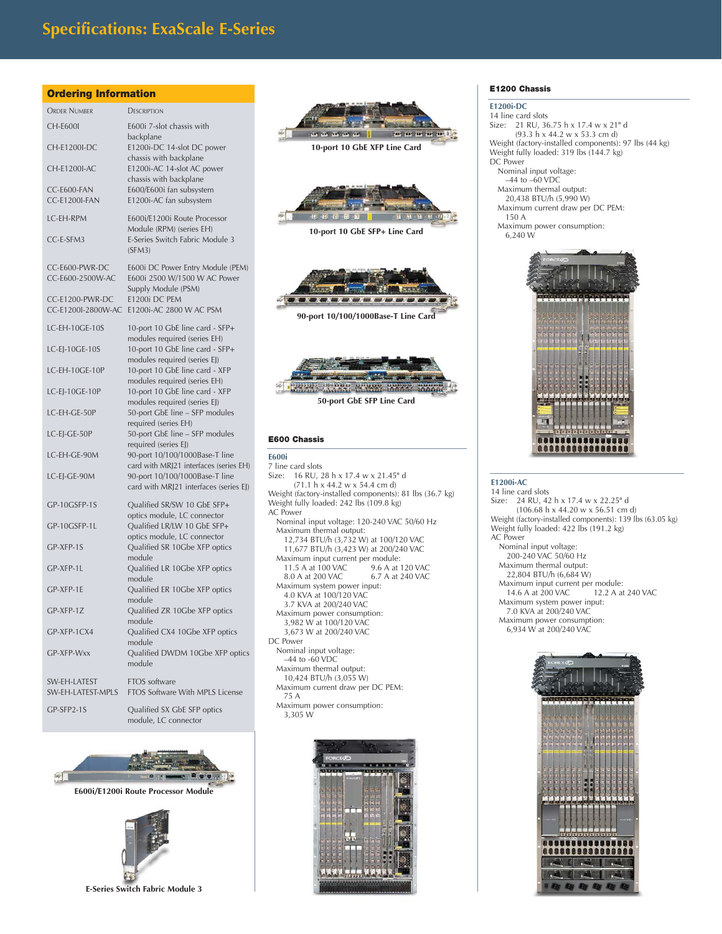## **Specifications: ExaScale E-Series**

**Ordering Information**

| <b>ORDER NUMBER</b>                   | <b>DESCRIPTION</b>                                                                                                 |  |
|---------------------------------------|--------------------------------------------------------------------------------------------------------------------|--|
| <b>CH-E600I</b>                       | E600i 7-slot chassis with                                                                                          |  |
| CH-E1200I-DC                          | backplane<br>E1200i-DC 14-slot DC power<br>chassis with backplane                                                  |  |
| CH-E1200I-AC                          | E1200i-AC 14-slot AC power<br>chassis with backplane                                                               |  |
| CC-E600-FAN<br>CC-E1200I-FAN          | E600/E600i fan subsystem<br>E1200i-AC fan subsystem                                                                |  |
| LC-EH-RPM                             | E600i/E1200i Route Processor                                                                                       |  |
| CC-E-SEM3                             | Module (RPM) (series EH)<br>E-Series Switch Fabric Module 3<br>(SFM3)                                              |  |
| CC-E600-PWR-DC<br>CC-E600-2500W-AC    | E600i DC Power Entry Module (PEM)<br>E600i 2500 W/1500 W AC Power<br>Supply Module (PSM)                           |  |
| CC-E1200-PWR-DC<br>CC-E1200I-2800W-AC | E1200i DC PEM<br>E1200i-AC 2800 W AC PSM                                                                           |  |
| LC-EH-10GE-10S                        | 10-port 10 GbE line card - SFP+                                                                                    |  |
| LC-EJ-10GE-10S                        | modules required (series EH)<br>10-port 10 GbE line card - SFP+                                                    |  |
| LC-EH-10GE-10P                        | modules required (series EJ)<br>10-port 10 GbE line card - XFP<br>modules required (series EH)                     |  |
| LC-EJ-10GE-10P                        | 10-port 10 GbE line card - XFP<br>modules required (series EJ)                                                     |  |
| LC-EH-GE-50P                          | 50-port GbE line - SFP modules<br>required (series EH)                                                             |  |
| LC-EJ-GE-50P                          | 50-port GbE line - SFP modules                                                                                     |  |
| LC-EH-GE-90M                          | required (series EJ)<br>90-port 10/100/1000Base-T line                                                             |  |
| LC-EJ-GE-90M                          | card with MRJ21 interfaces (series EH)<br>90-port 10/100/1000Base-T line<br>card with MRJ21 interfaces (series EJ) |  |
| GP-10GSFP-1S                          | Qualified SR/SW 10 GbE SFP+                                                                                        |  |
| GP-10GSFP-1L                          | optics module, LC connector<br>Qualified LR/LW 10 GbE SFP+                                                         |  |
| GP-XFP-1S                             | optics module, LC connector<br>Qualified SR 10Gbe XFP optics                                                       |  |
| GP-XFP-1L                             | module<br>Qualified LR 10Gbe XFP optics<br>module                                                                  |  |
| GP-XFP-1E                             | Qualified ER 10Gbe XFP optics<br>module                                                                            |  |
| GP-XFP-1Z                             | Qualified ZR 10Gbe XFP optics<br>module                                                                            |  |
| GP-XFP-1CX4                           | Qualified CX4 10Gbe XFP optics<br>module                                                                           |  |
| GP-XFP-Wxx                            | Qualified DWDM 10Gbe XFP optics<br>module                                                                          |  |
| SW-EH-LATEST<br>SW-EH-LATEST-MPLS     | FTOS software<br>FTOS Software With MPLS License                                                                   |  |
| GP-SFP2-1S                            | Qualified SX GbE SFP optics<br>module, LC connector                                                                |  |







3,982 W at 100/120 VAC 3,673 W at 200/240 VAC

Maximum power consumption: 3,305 W

لألقان ببيرار فدفا

Nominal input voltage: –44 to -60 VDC Maximum thermal output: 10,424 BTU/h (3,055 W) Maximum current draw per DC PEM:

DC Power

75 A

## **E1200 Chassis**

**E1200i-DC** 14 line card slots Size: 21 RU, 36.75 h x 17.4 w x 21" d (93.3 h x 44.2 w x 53.3 cm d) Weight (factory-installed components): 97 lbs (44 kg) Weight fully loaded: 319 lbs (144.7 kg) DC Power Nominal input voltage: –44 to –60 VDC Maximum thermal output: 20,438 BTU/h (5,990 W) Maximum current draw per DC PEM: 150 A Maximum power consumption: 6,240 W



#### **E1200i-AC**

14 line card slots Size: 24 RU, 42 h x 17.4 w x 22.25" d (106.68 h x 44.20 w x 56.51 cm d) Weight (factory-installed components): 139 lbs (63.05 kg) Weight fully loaded: 422 lbs (191.2 kg) AC Power Nominal input voltage: 200-240 VAC 50/60 Hz Maximum thermal output: 22,804 BTU/h (6,684 W) Maximum input current per module:<br>14.6 A at 200 VAC 12.2 A at 12.2 A at 240 VAC Maximum system power input: 7.0 KVA at 200/240 VAC Maximum power consumption: 6,934 W at 200/240 VAC

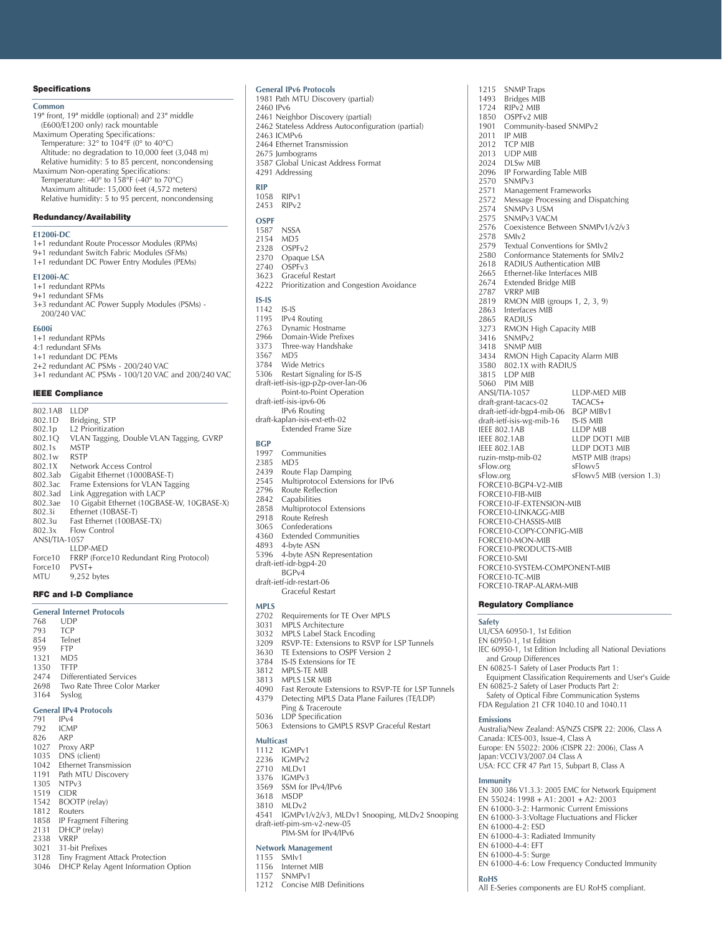#### **Specifications**

**Common** 19" front, 19" middle (optional) and 23" middle (E600/E1200 only) rack mountable Maximum Operating Specifications: Temperature: 32° to 104°F (0° to 40°C) Altitude: no degradation to 10,000 feet (3,048 m) Relative humidity: 5 to 85 percent, noncondensing Maximum Non-operating Specifications: Temperature: -40° to 158°F (-40° to 70°C) Maximum altitude: 15,000 feet (4,572 meters) Relative humidity: 5 to 95 percent, noncondensing

#### **Redundancy/Availability**

#### **E1200i-DC**

1+1 redundant Route Processor Modules (RPMs) 9+1 redundant Switch Fabric Modules (SFMs) 1+1 redundant DC Power Entry Modules (PEMs) **E1200i-AC** 1+1 redundant RPMs 9+1 redundant SFMs 3+3 redundant AC Power Supply Modules (PSMs) - 200/240 VAC

#### **E600i**

1+1 redundant RPMs 4:1 redundant SFMs 1+1 redundant DC PEMs 2+2 redundant AC PSMs - 200/240 VAC 3+1 redundant AC PSMs - 100/120 VAC and 200/240 VAC

#### **IEEE Compliance**

| 802.1AB            | LLDP                                       |
|--------------------|--------------------------------------------|
| 802.1D             | Bridging, STP                              |
| 802.1 <sub>p</sub> | L <sub>2</sub> Prioritization              |
| 802.1Q             | VLAN Tagging, Double VLAN Tagging, GVRP    |
| 802.1s             | <b>MSTP</b>                                |
| 802.1w             | <b>RSTP</b>                                |
| 802.1X             | Network Access Control                     |
| 802.3ab            | Gigabit Ethernet (1000BASE-T)              |
| 802.3ac            | Frame Extensions for VLAN Tagging          |
| 802.3ad            | Link Aggregation with LACP                 |
| 802.3ae            | 10 Gigabit Ethernet (10GBASE-W, 10GBASE-X) |
| 802.3i             | Ethernet (10BASE-T)                        |
| 802.3u             | Fast Ethernet (100BASE-TX)                 |
| 802.3x             | Flow Control                               |
| ANSI/TIA-1057      |                                            |
|                    | <b>LLDP-MED</b>                            |
| Force10            | FRRP (Force10 Redundant Ring Protocol)     |
| Force10            | $PVST+$                                    |
| <b>MTU</b>         | 9,252 bytes                                |
|                    |                                            |

#### **RFC and I-D Compliance**

| <b>General Internet Protocols</b> |                             |  |  |  |
|-----------------------------------|-----------------------------|--|--|--|
| 768                               | UDP                         |  |  |  |
| 793                               | <b>TCP</b>                  |  |  |  |
|                                   | 854 Telnet                  |  |  |  |
| 959                               | <b>FTP</b>                  |  |  |  |
| 1321                              | M <sub>D</sub> <sub>5</sub> |  |  |  |
| 1350                              | <b>TFTP</b>                 |  |  |  |
| 2474                              | Differentiated Services     |  |  |  |
| 2698                              | Two Rate Three Color Marker |  |  |  |
| 3164                              | Syslog                      |  |  |  |
| <b>General IPv4 Protocols</b>     |                             |  |  |  |
| 791                               | IPv4                        |  |  |  |
| 792                               | <b>ICMP</b>                 |  |  |  |
| 826                               | ARP                         |  |  |  |

- 1027 Proxy ARP 1035 DNS (client)<br>1042 Ethernet Tran 1042 Ethernet Transmission<br>1191 Path MTU Discovery 1191 Path MTU Discovery<br>1305 NTP<sub>V</sub>3 1305 NTPv3<br>1519 CIDR 1519 CIDR<br>1542 BOO 1542 BOOTP (relay)<br>1812 Routers Routers 1858 IP Fragment Filtering<br>2131 DHCP (relay)
- DHCP (relay)
- 2338 VRRP<br>3021 31-bit
- 31-bit Prefixes
- 3128 Tiny Fragment Attack Protection
- 3046 DHCP Relay Agent Information Option

#### **General IPv6 Protocols** 1981 Path MTU Discovery (partial) 2460 IPv6

- 2461 Neighbor Discovery (partial) 2462 Stateless Address Autoconfiguration (partial) 2463 ICMPv6 2464 Ethernet Transmission 2675 Jumbograms 3587 Global Unicast Address Format 4291 Addressing **RIP** 1058 RIPv1<br>2453 RIPv2 RIP<sub>v2</sub> **OSPF** 1587 NSSA 2154 MD5 2328 OSPFv2<br>2370 Opaque 2370 Opaque LSA<br>2740 OSPFv3 2740 OSPFv3<br>3623 Graceful Graceful Restart 4222 Prioritization and Congestion Avoidance **IS-IS** 1142 IS-IS<br>1195 IPv4 1195 IPv4 Routing 2763 Dynamic Hostname 2966 Domain-Wide Prefixes<br>3373 Three-way Handshake Three-way Handshake 3567<br>3784 3784 Wide Metrics<br>5306 Restart Signali Restart Signaling for IS-IS draft-ietf-isis-igp-p2p-over-lan-06 Point-to-Point Operation draft-ietf-isis-ipv6-06 IPv6 Routing draft-kaplan-isis-ext-eth-02 Extended Frame Size **BGP** Communities 2385 MD5<br>2439 Route
- 
- 2439 Route Flap Damping 2545 Multiprotocol Extensions for IPv6 2796 Route Reflection
- 2842 Capabilities
- 2858 Multiprotocol Extensions<br>2918 Route Refresh
- 2918 Route Refresh<br>3065 Confederations
- 3065 Confederations<br>4360 Extended Comr
- **Extended Communities**
- 4893 4-byte ASN
- 4-byte ASN Representation draft-ietf-idr-bgp4-20
- BGPv4
- draft-ietf-idr-restart-06
- Graceful Restart

#### **MPLS**

- 2702 Requirements for TE Over MPLS<br>3031 MPLS Architecture
- 3031 MPLS Architecture<br>3032 MPLS Label Stack E
- MPLS Label Stack Encoding
- 3209 RSVP-TE: Extensions to RSVP for LSP Tunnels 3630 TE Extensions to OSPF Version 2
- 
- 3784 IS-IS Extensions for TE
- 3812 MPLS-TE MIB<br>3813 MPLS LSR MIR MPLS LSR MIB
- 
- 4090 Fast Reroute Extensions to RSVP-TE for LSP Tunnels<br>4379 Detecting MPLS Data Plane Failures (TF/LDP) Detecting MPLS Data Plane Failures (TE/LDP) Ping & Traceroute
- 5036 LDP Specification
- 5063 Extensions to GMPLS RSVP Graceful Restart

#### **Multicast**

- 
- 1112 IGMPv1<br>2236 IGMPv2 IGMP<sub>v2</sub>
- 
- 2710 MLDv1<br>3376 IGMPv3 3376 IGMPv3<br>3569 SSM for
- 3569 SSM for IPv4/IPv6
- $MSDP$
- 3810 MLDv2
- 4541 IGMPv1/v2/v3, MLDv1 Snooping, MLDv2 Snooping draft-ietf-pim-sm-v2-new-05 PIM-SM for IPv4/IPv6

## **Network Management**

- 1155 SMIv1
- 
- 1156 Internet MIB<br>1157 SNMPv1 SNMP<sub>v1</sub>
- 1212 Concise MIB Definitions

| 1724                                        | RIP <sub>v2</sub> MIB              |                           |  |  |
|---------------------------------------------|------------------------------------|---------------------------|--|--|
| 1850                                        | OSPF <sub>v2</sub> MIB             |                           |  |  |
| 1901                                        | Community-based SNMPv2             |                           |  |  |
| 2011                                        | IP MIB                             |                           |  |  |
| 2012                                        | <b>TCP MIB</b>                     |                           |  |  |
| 2013                                        | UDP MIB                            |                           |  |  |
| 2024                                        | DLSw MIB                           |                           |  |  |
| 2096                                        | IP Forwarding Table MIB            |                           |  |  |
| 2570                                        | SNMP <sub>v3</sub>                 |                           |  |  |
| 2571                                        | Management Frameworks              |                           |  |  |
| 2572                                        | Message Processing and Dispatching |                           |  |  |
| 2574                                        | SNMP <sub>v3</sub> USM             |                           |  |  |
| 2575                                        | <b>SNMPv3 VACM</b>                 |                           |  |  |
| 2576                                        | Coexistence Between SNMPv1/v2/v3   |                           |  |  |
| 2578                                        | SMI <sub>v2</sub>                  |                           |  |  |
| 2579                                        | Textual Conventions for SMIv2      |                           |  |  |
| 2580                                        | Conformance Statements for SMIv2   |                           |  |  |
| 2618                                        | RADIUS Authentication MIB          |                           |  |  |
| 2665                                        | Ethernet-like Interfaces MIB       |                           |  |  |
| 2674                                        | <b>Extended Bridge MIB</b>         |                           |  |  |
| 2787                                        | VRRP MIB                           |                           |  |  |
| 2819                                        | RMON MIB (groups 1, 2, 3, 9)       |                           |  |  |
| 2863                                        | Interfaces MIB                     |                           |  |  |
| 2865                                        | RADIUS                             |                           |  |  |
| 3273                                        | RMON High Capacity MIB             |                           |  |  |
| 3416                                        | SNMP <sub>v2</sub>                 |                           |  |  |
| 3418                                        | <b>SNMP MIB</b>                    |                           |  |  |
| 3434                                        | RMON High Capacity Alarm MIB       |                           |  |  |
| 3580                                        | 802.1X with RADIUS                 |                           |  |  |
| 3815                                        | LDP MIB                            |                           |  |  |
| 5060                                        | PIM MIB                            |                           |  |  |
|                                             | ANSI/TIA-1057                      | LLDP-MED MIB              |  |  |
|                                             | draft-grant-tacacs-02              | TACACS+                   |  |  |
|                                             | draft-ietf-idr-bgp4-mib-06         | <b>BGP MIBv1</b>          |  |  |
|                                             | draft-ietf-isis-wg-mib-16          | IS-IS MIB                 |  |  |
| <b>IEEE 802.1AB</b>                         |                                    | LLDP MIB                  |  |  |
| <b>IEEE 802.1AB</b>                         |                                    | LLDP DOT1 MIB             |  |  |
| <b>IEEE 802.1AB</b>                         |                                    | LLDP DOT3 MIB             |  |  |
|                                             | ruzin-mstp-mib-02                  | MSTP MIB (traps)          |  |  |
| sFlow.org                                   |                                    | sFlowv5                   |  |  |
| sFlow.org                                   |                                    | sFlowv5 MIB (version 1.3) |  |  |
|                                             | FORCE10-BGP4-V2-MIB                |                           |  |  |
|                                             | FORCE10-FIB-MIB                    |                           |  |  |
| FORCE10-IF-EXTENSION-MIB                    |                                    |                           |  |  |
| FORCE10-LINKAGG-MIB                         |                                    |                           |  |  |
| FORCE10-CHASSIS-MIB                         |                                    |                           |  |  |
| FORCE10-COPY-CONFIG-MIB                     |                                    |                           |  |  |
| FORCE10-MON-MIB                             |                                    |                           |  |  |
| FORCE10-PRODUCTS-MIB                        |                                    |                           |  |  |
| FORCE10-SMI<br>FORCE10-SYSTEM-COMPONENT-MIB |                                    |                           |  |  |
|                                             |                                    |                           |  |  |
| FORCE10-TC-MIB                              |                                    |                           |  |  |

FORCE10-TC-MIB FORCE10-TRAP-ALARM-MIB

#### **Regulatory Compliance**

#### **Safety**

- UL/CSA 60950-1, 1st Edition
- EN 60950-1, 1st Edition
- IEC 60950-1, 1st Edition Including all National Deviations
- and Group Differences EN 60825-1 Safety of Laser Products Part 1: Equipment Classification Requirements and User's Guide
- EN 60825-2 Safety of Laser Products Part 2: Safety of Optical Fibre Communication Systems FDA Regulation 21 CFR 1040.10 and 1040.11

#### **Emissions**

Australia/New Zealand: AS/NZS CISPR 22: 2006, Class A Canada: ICES-003, Issue-4, Class A Europe: EN 55022: 2006 (CISPR 22: 2006), Class A Japan: VCCI V3/2007.04 Class A USA: FCC CFR 47 Part 15, Subpart B, Class A

#### **Immunity**

- EN 300 386 V1.3.3: 2005 EMC for Network Equipment
- EN 55024: 1998 + A1: 2001 + A2: 2003
- EN 61000-3-2: Harmonic Current Emissions
- EN 61000-3-3:Voltage Fluctuations and Flicker
- EN 61000-4-2: ESD
- EN 61000-4-3: Radiated Immunity
- EN 61000-4-4: EFT
- EN 61000-4-5: Surge
- EN 61000-4-6: Low Frequency Conducted Immunity

#### **RoHS**

All E-Series components are EU RoHS compliant.

- 
- 

1215 SNMP Traps 1493 Bridges MIB

- 
- - -
		-